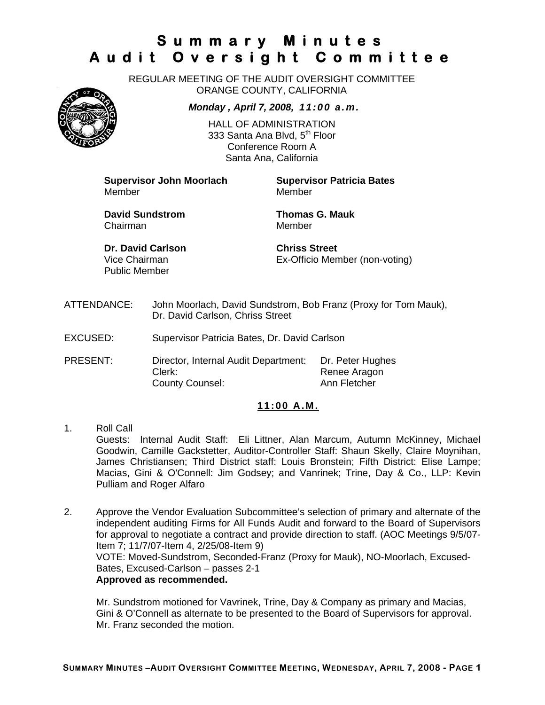# **Summary Minutes Audit Oversight Committee**

REGULAR MEETING OF THE AUDIT OVERSIGHT COMMITTEE ORANGE COUNTY, CALIFORNIA

*Monday , April 7, 2008, 11:00 a.m.*

HALL OF ADMINISTRATION 333 Santa Ana Blvd, 5<sup>th</sup> Floor Conference Room A Santa Ana, California

**Supervisor John Moorlach Supervisor Patricia Bates** Member Member

**David Sundstrom Thomas G. Mauk**  Chairman Member

**Dr. David Carlson Chriss Street** Public Member

Vice Chairman Ex-Officio Member (non-voting)

ATTENDANCE: John Moorlach, David Sundstrom, Bob Franz (Proxy for Tom Mauk), Dr. David Carlson, Chriss Street

EXCUSED: Supervisor Patricia Bates, Dr. David Carlson

PRESENT: Director, Internal Audit Department: Dr. Peter Hughes Clerk: Clerk: Renee Aragon County Counsel: Ann Fletcher

#### **11:00 A.M.**

- 1. Roll Call Guests: Internal Audit Staff: Eli Littner, Alan Marcum, Autumn McKinney, Michael Goodwin, Camille Gackstetter, Auditor-Controller Staff: Shaun Skelly, Claire Moynihan, James Christiansen; Third District staff: Louis Bronstein; Fifth District: Elise Lampe; Macias, Gini & O'Connell: Jim Godsey; and Vanrinek; Trine, Day & Co., LLP: Kevin Pulliam and Roger Alfaro
- 2. Approve the Vendor Evaluation Subcommittee's selection of primary and alternate of the independent auditing Firms for All Funds Audit and forward to the Board of Supervisors for approval to negotiate a contract and provide direction to staff. (AOC Meetings 9/5/07- Item 7; 11/7/07-Item 4, 2/25/08-Item 9) VOTE: Moved-Sundstrom, Seconded-Franz (Proxy for Mauk), NO-Moorlach, Excused-Bates, Excused-Carlson – passes 2-1 **Approved as recommended.**

Mr. Sundstrom motioned for Vavrinek, Trine, Day & Company as primary and Macias, Gini & O'Connell as alternate to be presented to the Board of Supervisors for approval. Mr. Franz seconded the motion.